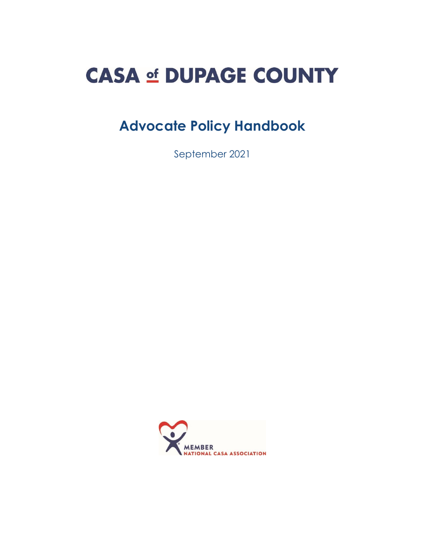# **CASA of DUPAGE COUNTY**

# **Advocate Policy Handbook**

September 2021

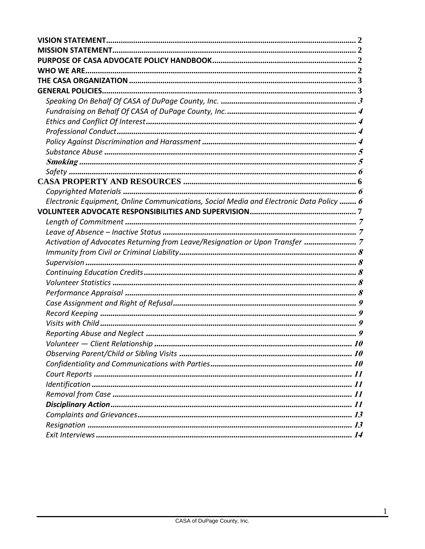| Electronic Equipment, Online Communications, Social Media and Electronic Data Policy  6 |  |
|-----------------------------------------------------------------------------------------|--|
|                                                                                         |  |
|                                                                                         |  |
|                                                                                         |  |
| Activation of Advocates Returning from Leave/Resignation or Upon Transfer  7            |  |
|                                                                                         |  |
|                                                                                         |  |
|                                                                                         |  |
|                                                                                         |  |
|                                                                                         |  |
|                                                                                         |  |
|                                                                                         |  |
|                                                                                         |  |
|                                                                                         |  |
|                                                                                         |  |
|                                                                                         |  |
|                                                                                         |  |
|                                                                                         |  |
|                                                                                         |  |
|                                                                                         |  |
|                                                                                         |  |
|                                                                                         |  |
|                                                                                         |  |
|                                                                                         |  |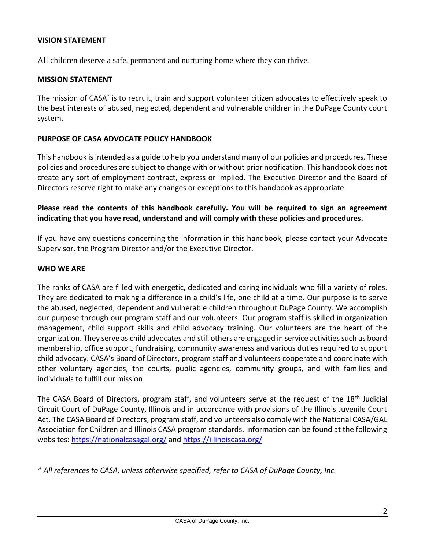#### <span id="page-2-0"></span>**VISION STATEMENT**

All children deserve a safe, permanent and nurturing home where they can thrive.

#### <span id="page-2-1"></span>**MISSION STATEMENT**

The mission of CASA<sup>\*</sup> is to recruit, train and support volunteer citizen advocates to effectively speak to the best interests of abused, neglected, dependent and vulnerable children in the DuPage County court system.

#### <span id="page-2-2"></span>**PURPOSE OF CASA ADVOCATE POLICY HANDBOOK**

This handbook is intended as a guide to help you understand many of our policies and procedures. These policies and procedures are subject to change with or without prior notification. This handbook does not create any sort of employment contract, express or implied. The Executive Director and the Board of Directors reserve right to make any changes or exceptions to this handbook as appropriate.

#### **Please read the contents of this handbook carefully. You will be required to sign an agreement indicating that you have read, understand and will comply with these policies and procedures.**

If you have any questions concerning the information in this handbook, please contact your Advocate Supervisor, the Program Director and/or the Executive Director.

#### <span id="page-2-3"></span>**WHO WE ARE**

The ranks of CASA are filled with energetic, dedicated and caring individuals who fill a variety of roles. They are dedicated to making a difference in a child's life, one child at a time. Our purpose is to serve the abused, neglected, dependent and vulnerable children throughout DuPage County. We accomplish our purpose through our program staff and our volunteers. Our program staff is skilled in organization management, child support skills and child advocacy training. Our volunteers are the heart of the organization. They serve as child advocates and still others are engaged in service activities such as board membership, office support, fundraising, community awareness and various duties required to support child advocacy. CASA's Board of Directors, program staff and volunteers cooperate and coordinate with other voluntary agencies, the courts, public agencies, community groups, and with families and individuals to fulfill our mission

The CASA Board of Directors, program staff, and volunteers serve at the request of the 18<sup>th</sup> Judicial Circuit Court of DuPage County, Illinois and in accordance with provisions of the Illinois Juvenile Court Act. The CASA Board of Directors, program staff, and volunteers also comply with the National CASA/GAL Association for Children and Illinois CASA program standards. Information can be found at the following websites:<https://nationalcasagal.org/> and <https://illinoiscasa.org/>

*\* All references to CASA, unless otherwise specified, refer to CASA of DuPage County, Inc.*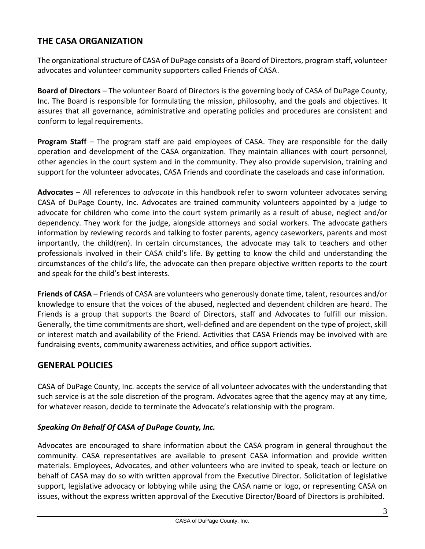# <span id="page-3-0"></span>**THE CASA ORGANIZATION**

The organizational structure of CASA of DuPage consists of a Board of Directors, program staff, volunteer advocates and volunteer community supporters called Friends of CASA.

**Board of Directors** – The volunteer Board of Directors is the governing body of CASA of DuPage County, Inc. The Board is responsible for formulating the mission, philosophy, and the goals and objectives. It assures that all governance, administrative and operating policies and procedures are consistent and conform to legal requirements.

**Program Staff** – The program staff are paid employees of CASA. They are responsible for the daily operation and development of the CASA organization. They maintain alliances with court personnel, other agencies in the court system and in the community. They also provide supervision, training and support for the volunteer advocates, CASA Friends and coordinate the caseloads and case information.

**Advocates** – All references to *advocate* in this handbook refer to sworn volunteer advocates serving CASA of DuPage County, Inc. Advocates are trained community volunteers appointed by a judge to advocate for children who come into the court system primarily as a result of abuse, neglect and/or dependency. They work for the judge, alongside attorneys and social workers. The advocate gathers information by reviewing records and talking to foster parents, agency caseworkers, parents and most importantly, the child(ren). In certain circumstances, the advocate may talk to teachers and other professionals involved in their CASA child's life. By getting to know the child and understanding the circumstances of the child's life, the advocate can then prepare objective written reports to the court and speak for the child's best interests.

**Friends of CASA** – Friends of CASA are volunteers who generously donate time, talent, resources and/or knowledge to ensure that the voices of the abused, neglected and dependent children are heard. The Friends is a group that supports the Board of Directors, staff and Advocates to fulfill our mission. Generally, the time commitments are short, well-defined and are dependent on the type of project, skill or interest match and availability of the Friend. Activities that CASA Friends may be involved with are fundraising events, community awareness activities, and office support activities.

# <span id="page-3-1"></span>**GENERAL POLICIES**

CASA of DuPage County, Inc. accepts the service of all volunteer advocates with the understanding that such service is at the sole discretion of the program. Advocates agree that the agency may at any time, for whatever reason, decide to terminate the Advocate's relationship with the program.

#### <span id="page-3-2"></span>*Speaking On Behalf Of CASA of DuPage County, Inc.*

Advocates are encouraged to share information about the CASA program in general throughout the community. CASA representatives are available to present CASA information and provide written materials. Employees, Advocates, and other volunteers who are invited to speak, teach or lecture on behalf of CASA may do so with written approval from the Executive Director. Solicitation of legislative support, legislative advocacy or lobbying while using the CASA name or logo, or representing CASA on issues, without the express written approval of the Executive Director/Board of Directors is prohibited.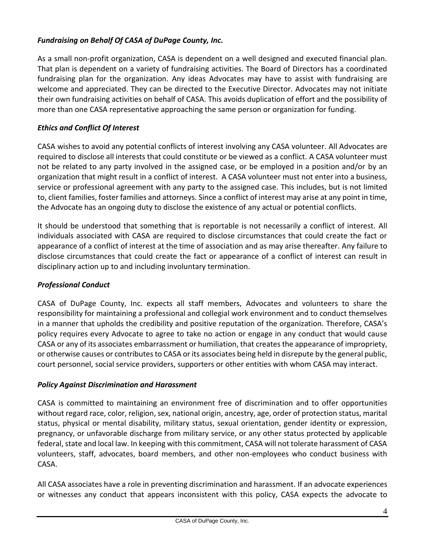# <span id="page-4-0"></span>*Fundraising on Behalf Of CASA of DuPage County, Inc.*

As a small non-profit organization, CASA is dependent on a well designed and executed financial plan. That plan is dependent on a variety of fundraising activities. The Board of Directors has a coordinated fundraising plan for the organization. Any ideas Advocates may have to assist with fundraising are welcome and appreciated. They can be directed to the Executive Director. Advocates may not initiate their own fundraising activities on behalf of CASA. This avoids duplication of effort and the possibility of more than one CASA representative approaching the same person or organization for funding.

# <span id="page-4-1"></span>*Ethics and Conflict Of Interest*

CASA wishes to avoid any potential conflicts of interest involving any CASA volunteer. All Advocates are required to disclose all interests that could constitute or be viewed as a conflict. A CASA volunteer must not be related to any party involved in the assigned case, or be employed in a position and/or by an organization that might result in a conflict of interest. A CASA volunteer must not enter into a business, service or professional agreement with any party to the assigned case. This includes, but is not limited to, client families, foster families and attorneys. Since a conflict of interest may arise at any point in time, the Advocate has an ongoing duty to disclose the existence of any actual or potential conflicts.

It should be understood that something that is reportable is not necessarily a conflict of interest. All individuals associated with CASA are required to disclose circumstances that could create the fact or appearance of a conflict of interest at the time of association and as may arise thereafter. Any failure to disclose circumstances that could create the fact or appearance of a conflict of interest can result in disciplinary action up to and including involuntary termination.

# <span id="page-4-2"></span>*Professional Conduct*

CASA of DuPage County, Inc. expects all staff members, Advocates and volunteers to share the responsibility for maintaining a professional and collegial work environment and to conduct themselves in a manner that upholds the credibility and positive reputation of the organization. Therefore, CASA's policy requires every Advocate to agree to take no action or engage in any conduct that would cause CASA or any of its associates embarrassment or humiliation, that creates the appearance of impropriety, or otherwise causes or contributes to CASA or its associates being held in disrepute by the general public, court personnel, social service providers, supporters or other entities with whom CASA may interact.

# <span id="page-4-3"></span>*Policy Against Discrimination and Harassment*

CASA is committed to maintaining an environment free of discrimination and to offer opportunities without regard race, color, religion, sex, national origin, ancestry, age, order of protection status, marital status, physical or mental disability, military status, sexual orientation, gender identity or expression, pregnancy, or unfavorable discharge from military service, or any other status protected by applicable federal, state and local law. In keeping with this commitment, CASA will not tolerate harassment of CASA volunteers, staff, advocates, board members, and other non-employees who conduct business with CASA.

All CASA associates have a role in preventing discrimination and harassment. If an advocate experiences or witnesses any conduct that appears inconsistent with this policy, CASA expects the advocate to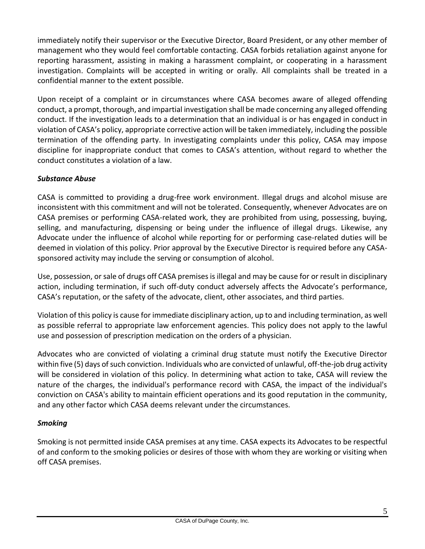immediately notify their supervisor or the Executive Director, Board President, or any other member of management who they would feel comfortable contacting. CASA forbids retaliation against anyone for reporting harassment, assisting in making a harassment complaint, or cooperating in a harassment investigation. Complaints will be accepted in writing or orally. All complaints shall be treated in a confidential manner to the extent possible.

Upon receipt of a complaint or in circumstances where CASA becomes aware of alleged offending conduct, a prompt, thorough, and impartial investigation shall be made concerning any alleged offending conduct. If the investigation leads to a determination that an individual is or has engaged in conduct in violation of CASA's policy, appropriate corrective action will be taken immediately, including the possible termination of the offending party. In investigating complaints under this policy, CASA may impose discipline for inappropriate conduct that comes to CASA's attention, without regard to whether the conduct constitutes a violation of a law.

# <span id="page-5-0"></span>*Substance Abuse*

CASA is committed to providing a drug-free work environment. Illegal drugs and alcohol misuse are inconsistent with this commitment and will not be tolerated. Consequently, whenever Advocates are on CASA premises or performing CASA-related work, they are prohibited from using, possessing, buying, selling, and manufacturing, dispensing or being under the influence of illegal drugs. Likewise, any Advocate under the influence of alcohol while reporting for or performing case-related duties will be deemed in violation of this policy. Prior approval by the Executive Director is required before any CASAsponsored activity may include the serving or consumption of alcohol.

Use, possession, or sale of drugs off CASA premises is illegal and may be cause for or result in disciplinary action, including termination, if such off-duty conduct adversely affects the Advocate's performance, CASA's reputation, or the safety of the advocate, client, other associates, and third parties.

Violation of this policy is cause for immediate disciplinary action, up to and including termination, as well as possible referral to appropriate law enforcement agencies. This policy does not apply to the lawful use and possession of prescription medication on the orders of a physician.

Advocates who are convicted of violating a criminal drug statute must notify the Executive Director within five (5) days of such conviction. Individuals who are convicted of unlawful, off-the-job drug activity will be considered in violation of this policy. In determining what action to take, CASA will review the nature of the charges, the individual's performance record with CASA, the impact of the individual's conviction on CASA's ability to maintain efficient operations and its good reputation in the community, and any other factor which CASA deems relevant under the circumstances.

#### <span id="page-5-1"></span>*Smoking*

Smoking is not permitted inside CASA premises at any time. CASA expects its Advocates to be respectful of and conform to the smoking policies or desires of those with whom they are working or visiting when off CASA premises.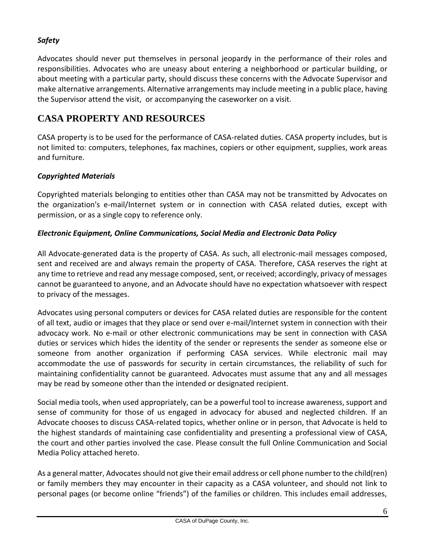# <span id="page-6-0"></span>*Safety*

Advocates should never put themselves in personal jeopardy in the performance of their roles and responsibilities. Advocates who are uneasy about entering a neighborhood or particular building, or about meeting with a particular party, should discuss these concerns with the Advocate Supervisor and make alternative arrangements. Alternative arrangements may include meeting in a public place, having the Supervisor attend the visit, or accompanying the caseworker on a visit.

# <span id="page-6-1"></span>**CASA PROPERTY AND RESOURCES**

CASA property is to be used for the performance of CASA-related duties. CASA property includes, but is not limited to: computers, telephones, fax machines, copiers or other equipment, supplies, work areas and furniture.

# <span id="page-6-2"></span>*Copyrighted Materials*

Copyrighted materials belonging to entities other than CASA may not be transmitted by Advocates on the organization's e-mail/Internet system or in connection with CASA related duties, except with permission, or as a single copy to reference only.

# <span id="page-6-3"></span>*Electronic Equipment, Online Communications, Social Media and Electronic Data Policy*

All Advocate-generated data is the property of CASA. As such, all electronic-mail messages composed, sent and received are and always remain the property of CASA. Therefore, CASA reserves the right at any time to retrieve and read any message composed, sent, or received; accordingly, privacy of messages cannot be guaranteed to anyone, and an Advocate should have no expectation whatsoever with respect to privacy of the messages.

Advocates using personal computers or devices for CASA related duties are responsible for the content of all text, audio or images that they place or send over e-mail/Internet system in connection with their advocacy work. No e-mail or other electronic communications may be sent in connection with CASA duties or services which hides the identity of the sender or represents the sender as someone else or someone from another organization if performing CASA services. While electronic mail may accommodate the use of passwords for security in certain circumstances, the reliability of such for maintaining confidentiality cannot be guaranteed. Advocates must assume that any and all messages may be read by someone other than the intended or designated recipient.

Social media tools, when used appropriately, can be a powerful tool to increase awareness, support and sense of community for those of us engaged in advocacy for abused and neglected children. If an Advocate chooses to discuss CASA-related topics, whether online or in person, that Advocate is held to the highest standards of maintaining case confidentiality and presenting a professional view of CASA, the court and other parties involved the case. Please consult the full Online Communication and Social Media Policy attached hereto.

As a general matter, Advocates should not give their email address or cell phone number to the child(ren) or family members they may encounter in their capacity as a CASA volunteer, and should not link to personal pages (or become online "friends") of the families or children. This includes email addresses,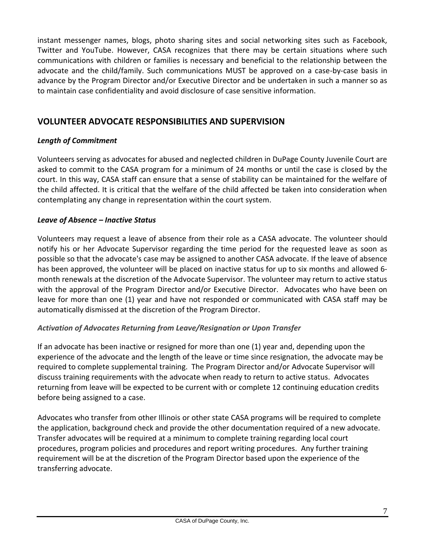instant messenger names, blogs, photo sharing sites and social networking sites such as Facebook, Twitter and YouTube. However, CASA recognizes that there may be certain situations where such communications with children or families is necessary and beneficial to the relationship between the advocate and the child/family. Such communications MUST be approved on a case-by-case basis in advance by the Program Director and/or Executive Director and be undertaken in such a manner so as to maintain case confidentiality and avoid disclosure of case sensitive information.

# <span id="page-7-0"></span>**VOLUNTEER ADVOCATE RESPONSIBILITIES AND SUPERVISION**

# <span id="page-7-1"></span>*Length of Commitment*

Volunteers serving as advocates for abused and neglected children in DuPage County Juvenile Court are asked to commit to the CASA program for a minimum of 24 months or until the case is closed by the court. In this way, CASA staff can ensure that a sense of stability can be maintained for the welfare of the child affected. It is critical that the welfare of the child affected be taken into consideration when contemplating any change in representation within the court system.

# <span id="page-7-2"></span>*Leave of Absence – Inactive Status*

Volunteers may request a leave of absence from their role as a CASA advocate. The volunteer should notify his or her Advocate Supervisor regarding the time period for the requested leave as soon as possible so that the advocate's case may be assigned to another CASA advocate. If the leave of absence has been approved, the volunteer will be placed on inactive status for up to six months and allowed 6 month renewals at the discretion of the Advocate Supervisor. The volunteer may return to active status with the approval of the Program Director and/or Executive Director. Advocates who have been on leave for more than one (1) year and have not responded or communicated with CASA staff may be automatically dismissed at the discretion of the Program Director.

# <span id="page-7-3"></span>*Activation of Advocates Returning from Leave/Resignation or Upon Transfer*

If an advocate has been inactive or resigned for more than one (1) year and, depending upon the experience of the advocate and the length of the leave or time since resignation, the advocate may be required to complete supplemental training. The Program Director and/or Advocate Supervisor will discuss training requirements with the advocate when ready to return to active status. Advocates returning from leave will be expected to be current with or complete 12 continuing education credits before being assigned to a case.

Advocates who transfer from other Illinois or other state CASA programs will be required to complete the application, background check and provide the other documentation required of a new advocate. Transfer advocates will be required at a minimum to complete training regarding local court procedures, program policies and procedures and report writing procedures. Any further training requirement will be at the discretion of the Program Director based upon the experience of the transferring advocate.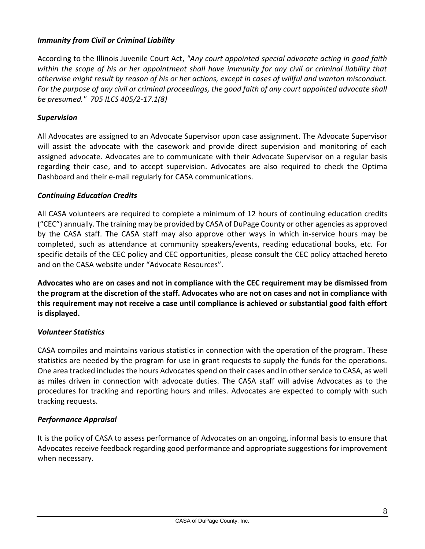#### <span id="page-8-0"></span>*Immunity from Civil or Criminal Liability*

According to the Illinois Juvenile Court Act, *"Any court appointed special advocate acting in good faith within the scope of his or her appointment shall have immunity for any civil or criminal liability that otherwise might result by reason of his or her actions, except in cases of willful and wanton misconduct. For the purpose of any civil or criminal proceedings, the good faith of any court appointed advocate shall be presumed." 705 ILCS 405/2-17.1(8)*

#### <span id="page-8-1"></span>*Supervision*

All Advocates are assigned to an Advocate Supervisor upon case assignment. The Advocate Supervisor will assist the advocate with the casework and provide direct supervision and monitoring of each assigned advocate. Advocates are to communicate with their Advocate Supervisor on a regular basis regarding their case, and to accept supervision. Advocates are also required to check the Optima Dashboard and their e-mail regularly for CASA communications.

#### <span id="page-8-2"></span>*Continuing Education Credits*

All CASA volunteers are required to complete a minimum of 12 hours of continuing education credits ("CEC") annually. The training may be provided by CASA of DuPage County or other agencies as approved by the CASA staff. The CASA staff may also approve other ways in which in-service hours may be completed, such as attendance at community speakers/events, reading educational books, etc. For specific details of the CEC policy and CEC opportunities, please consult the CEC policy attached hereto and on the CASA website under "Advocate Resources".

**Advocates who are on cases and not in compliance with the CEC requirement may be dismissed from the program at the discretion of the staff. Advocates who are not on cases and not in compliance with this requirement may not receive a case until compliance is achieved or substantial good faith effort is displayed.**

#### <span id="page-8-3"></span>*Volunteer Statistics*

CASA compiles and maintains various statistics in connection with the operation of the program. These statistics are needed by the program for use in grant requests to supply the funds for the operations. One area tracked includes the hours Advocates spend on their cases and in other service to CASA, as well as miles driven in connection with advocate duties. The CASA staff will advise Advocates as to the procedures for tracking and reporting hours and miles. Advocates are expected to comply with such tracking requests.

#### <span id="page-8-4"></span>*Performance Appraisal*

It is the policy of CASA to assess performance of Advocates on an ongoing, informal basis to ensure that Advocates receive feedback regarding good performance and appropriate suggestions for improvement when necessary.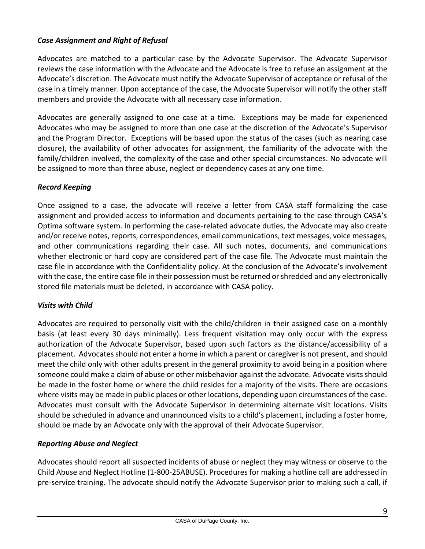# <span id="page-9-0"></span>*Case Assignment and Right of Refusal*

Advocates are matched to a particular case by the Advocate Supervisor. The Advocate Supervisor reviews the case information with the Advocate and the Advocate is free to refuse an assignment at the Advocate's discretion. The Advocate must notify the Advocate Supervisor of acceptance or refusal of the case in a timely manner. Upon acceptance of the case, the Advocate Supervisor will notify the other staff members and provide the Advocate with all necessary case information.

Advocates are generally assigned to one case at a time. Exceptions may be made for experienced Advocates who may be assigned to more than one case at the discretion of the Advocate's Supervisor and the Program Director. Exceptions will be based upon the status of the cases (such as nearing case closure), the availability of other advocates for assignment, the familiarity of the advocate with the family/children involved, the complexity of the case and other special circumstances. No advocate will be assigned to more than three abuse, neglect or dependency cases at any one time.

# <span id="page-9-1"></span>*Record Keeping*

Once assigned to a case, the advocate will receive a letter from CASA staff formalizing the case assignment and provided access to information and documents pertaining to the case through CASA's Optima software system. In performing the case-related advocate duties, the Advocate may also create and/or receive notes, reports, correspondences, email communications, text messages, voice messages, and other communications regarding their case. All such notes, documents, and communications whether electronic or hard copy are considered part of the case file. The Advocate must maintain the case file in accordance with the Confidentiality policy. At the conclusion of the Advocate's involvement with the case, the entire case file in their possession must be returned or shredded and any electronically stored file materials must be deleted, in accordance with CASA policy.

#### <span id="page-9-2"></span>*Visits with Child*

Advocates are required to personally visit with the child/children in their assigned case on a monthly basis (at least every 30 days minimally). Less frequent visitation may only occur with the express authorization of the Advocate Supervisor, based upon such factors as the distance/accessibility of a placement. Advocates should not enter a home in which a parent or caregiver is not present, and should meet the child only with other adults present in the general proximity to avoid being in a position where someone could make a claim of abuse or other misbehavior against the advocate. Advocate visits should be made in the foster home or where the child resides for a majority of the visits. There are occasions where visits may be made in public places or other locations, depending upon circumstances of the case. Advocates must consult with the Advocate Supervisor in determining alternate visit locations. Visits should be scheduled in advance and unannounced visits to a child's placement, including a foster home, should be made by an Advocate only with the approval of their Advocate Supervisor.

# <span id="page-9-3"></span>*Reporting Abuse and Neglect*

Advocates should report all suspected incidents of abuse or neglect they may witness or observe to the Child Abuse and Neglect Hotline (1-800-25ABUSE). Procedures for making a hotline call are addressed in pre-service training. The advocate should notify the Advocate Supervisor prior to making such a call, if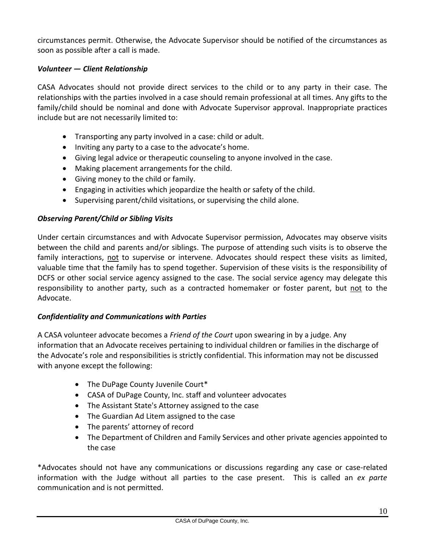circumstances permit. Otherwise, the Advocate Supervisor should be notified of the circumstances as soon as possible after a call is made.

# <span id="page-10-0"></span>*Volunteer — Client Relationship*

CASA Advocates should not provide direct services to the child or to any party in their case. The relationships with the parties involved in a case should remain professional at all times. Any gifts to the family/child should be nominal and done with Advocate Supervisor approval. Inappropriate practices include but are not necessarily limited to:

- Transporting any party involved in a case: child or adult.
- Inviting any party to a case to the advocate's home.
- Giving legal advice or therapeutic counseling to anyone involved in the case.
- Making placement arrangements for the child.
- Giving money to the child or family.
- Engaging in activities which jeopardize the health or safety of the child.
- Supervising parent/child visitations, or supervising the child alone.

#### <span id="page-10-1"></span>*Observing Parent/Child or Sibling Visits*

Under certain circumstances and with Advocate Supervisor permission, Advocates may observe visits between the child and parents and/or siblings. The purpose of attending such visits is to observe the family interactions, not to supervise or intervene. Advocates should respect these visits as limited, valuable time that the family has to spend together. Supervision of these visits is the responsibility of DCFS or other social service agency assigned to the case. The social service agency may delegate this responsibility to another party, such as a contracted homemaker or foster parent, but not to the Advocate.

#### <span id="page-10-2"></span>*Confidentiality and Communications with Parties*

A CASA volunteer advocate becomes a *Friend of the Court* upon swearing in by a judge. Any information that an Advocate receives pertaining to individual children or families in the discharge of the Advocate's role and responsibilities is strictly confidential. This information may not be discussed with anyone except the following:

- The DuPage County Juvenile Court\*
- CASA of DuPage County, Inc. staff and volunteer advocates
- The Assistant State's Attorney assigned to the case
- The Guardian Ad Litem assigned to the case
- The parents' attorney of record
- The Department of Children and Family Services and other private agencies appointed to the case

\*Advocates should not have any communications or discussions regarding any case or case-related information with the Judge without all parties to the case present. This is called an *ex parte* communication and is not permitted.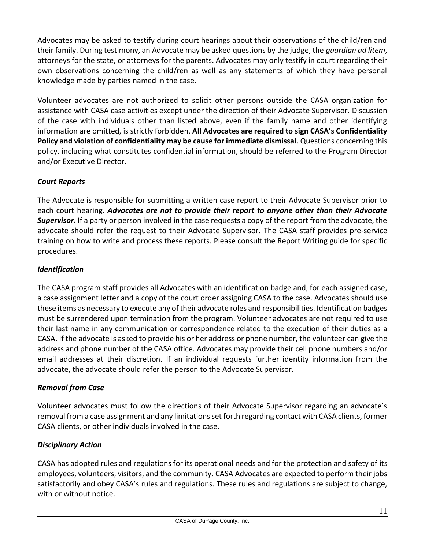Advocates may be asked to testify during court hearings about their observations of the child/ren and their family. During testimony, an Advocate may be asked questions by the judge, the *guardian ad litem*, attorneys for the state, or attorneys for the parents. Advocates may only testify in court regarding their own observations concerning the child/ren as well as any statements of which they have personal knowledge made by parties named in the case.

Volunteer advocates are not authorized to solicit other persons outside the CASA organization for assistance with CASA case activities except under the direction of their Advocate Supervisor. Discussion of the case with individuals other than listed above, even if the family name and other identifying information are omitted, is strictly forbidden. **All Advocates are required to sign CASA's Confidentiality Policy and violation of confidentiality may be cause for immediate dismissal**. Questions concerning this policy, including what constitutes confidential information, should be referred to the Program Director and/or Executive Director.

# <span id="page-11-0"></span>*Court Reports*

The Advocate is responsible for submitting a written case report to their Advocate Supervisor prior to each court hearing. *Advocates are not to provide their report to anyone other than their Advocate Supervisor***.** If a party or person involved in the case requests a copy of the report from the advocate, the advocate should refer the request to their Advocate Supervisor. The CASA staff provides pre-service training on how to write and process these reports. Please consult the Report Writing guide for specific procedures.

# <span id="page-11-1"></span>*Identification*

The CASA program staff provides all Advocates with an identification badge and, for each assigned case, a case assignment letter and a copy of the court order assigning CASA to the case. Advocates should use these items as necessary to execute any of their advocate roles and responsibilities. Identification badges must be surrendered upon termination from the program. Volunteer advocates are not required to use their last name in any communication or correspondence related to the execution of their duties as a CASA. If the advocate is asked to provide his or her address or phone number, the volunteer can give the address and phone number of the CASA office. Advocates may provide their cell phone numbers and/or email addresses at their discretion. If an individual requests further identity information from the advocate, the advocate should refer the person to the Advocate Supervisor.

# <span id="page-11-2"></span>*Removal from Case*

Volunteer advocates must follow the directions of their Advocate Supervisor regarding an advocate's removal from a case assignment and any limitations set forth regarding contact with CASA clients, former CASA clients, or other individuals involved in the case.

# <span id="page-11-3"></span>*Disciplinary Action*

CASA has adopted rules and regulations for its operational needs and for the protection and safety of its employees, volunteers, visitors, and the community. CASA Advocates are expected to perform their jobs satisfactorily and obey CASA's rules and regulations. These rules and regulations are subject to change, with or without notice.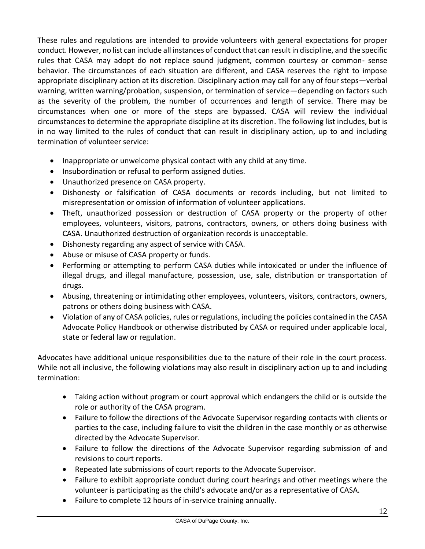These rules and regulations are intended to provide volunteers with general expectations for proper conduct. However, no list can include all instances of conduct that can result in discipline, and the specific rules that CASA may adopt do not replace sound judgment, common courtesy or common- sense behavior. The circumstances of each situation are different, and CASA reserves the right to impose appropriate disciplinary action at its discretion. Disciplinary action may call for any of four steps—verbal warning, written warning/probation, suspension, or termination of service—depending on factors such as the severity of the problem, the number of occurrences and length of service. There may be circumstances when one or more of the steps are bypassed. CASA will review the individual circumstances to determine the appropriate discipline at its discretion. The following list includes, but is in no way limited to the rules of conduct that can result in disciplinary action, up to and including termination of volunteer service:

- Inappropriate or unwelcome physical contact with any child at any time.
- Insubordination or refusal to perform assigned duties.
- Unauthorized presence on CASA property.
- Dishonesty or falsification of CASA documents or records including, but not limited to misrepresentation or omission of information of volunteer applications.
- Theft, unauthorized possession or destruction of CASA property or the property of other employees, volunteers, visitors, patrons, contractors, owners, or others doing business with CASA. Unauthorized destruction of organization records is unacceptable.
- Dishonesty regarding any aspect of service with CASA.
- Abuse or misuse of CASA property or funds.
- Performing or attempting to perform CASA duties while intoxicated or under the influence of illegal drugs, and illegal manufacture, possession, use, sale, distribution or transportation of drugs.
- Abusing, threatening or intimidating other employees, volunteers, visitors, contractors, owners, patrons or others doing business with CASA.
- Violation of any of CASA policies, rules or regulations, including the policies contained in the CASA Advocate Policy Handbook or otherwise distributed by CASA or required under applicable local, state or federal law or regulation.

Advocates have additional unique responsibilities due to the nature of their role in the court process. While not all inclusive, the following violations may also result in disciplinary action up to and including termination:

- Taking action without program or court approval which endangers the child or is outside the role or authority of the CASA program.
- Failure to follow the directions of the Advocate Supervisor regarding contacts with clients or parties to the case, including failure to visit the children in the case monthly or as otherwise directed by the Advocate Supervisor.
- Failure to follow the directions of the Advocate Supervisor regarding submission of and revisions to court reports.
- Repeated late submissions of court reports to the Advocate Supervisor.
- Failure to exhibit appropriate conduct during court hearings and other meetings where the volunteer is participating as the child's advocate and/or as a representative of CASA.
- Failure to complete 12 hours of in-service training annually.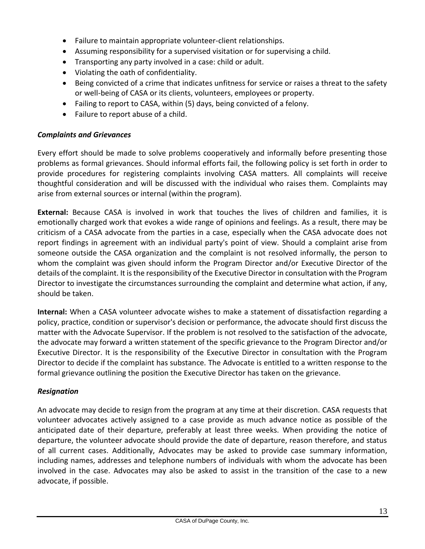- Failure to maintain appropriate volunteer-client relationships.
- Assuming responsibility for a supervised visitation or for supervising a child.
- Transporting any party involved in a case: child or adult.
- Violating the oath of confidentiality.
- Being convicted of a crime that indicates unfitness for service or raises a threat to the safety or well-being of CASA or its clients, volunteers, employees or property.
- Failing to report to CASA, within (5) days, being convicted of a felony.
- Failure to report abuse of a child.

#### <span id="page-13-0"></span>*Complaints and Grievances*

Every effort should be made to solve problems cooperatively and informally before presenting those problems as formal grievances. Should informal efforts fail, the following policy is set forth in order to provide procedures for registering complaints involving CASA matters. All complaints will receive thoughtful consideration and will be discussed with the individual who raises them. Complaints may arise from external sources or internal (within the program).

**External:** Because CASA is involved in work that touches the lives of children and families, it is emotionally charged work that evokes a wide range of opinions and feelings. As a result, there may be criticism of a CASA advocate from the parties in a case, especially when the CASA advocate does not report findings in agreement with an individual party's point of view. Should a complaint arise from someone outside the CASA organization and the complaint is not resolved informally, the person to whom the complaint was given should inform the Program Director and/or Executive Director of the details of the complaint. It is the responsibility of the Executive Director in consultation with the Program Director to investigate the circumstances surrounding the complaint and determine what action, if any, should be taken.

**Internal:** When a CASA volunteer advocate wishes to make a statement of dissatisfaction regarding a policy, practice, condition or supervisor's decision or performance, the advocate should first discuss the matter with the Advocate Supervisor. If the problem is not resolved to the satisfaction of the advocate, the advocate may forward a written statement of the specific grievance to the Program Director and/or Executive Director. It is the responsibility of the Executive Director in consultation with the Program Director to decide if the complaint has substance. The Advocate is entitled to a written response to the formal grievance outlining the position the Executive Director has taken on the grievance.

#### <span id="page-13-1"></span>*Resignation*

An advocate may decide to resign from the program at any time at their discretion. CASA requests that volunteer advocates actively assigned to a case provide as much advance notice as possible of the anticipated date of their departure, preferably at least three weeks. When providing the notice of departure, the volunteer advocate should provide the date of departure, reason therefore, and status of all current cases. Additionally, Advocates may be asked to provide case summary information, including names, addresses and telephone numbers of individuals with whom the advocate has been involved in the case. Advocates may also be asked to assist in the transition of the case to a new advocate, if possible.